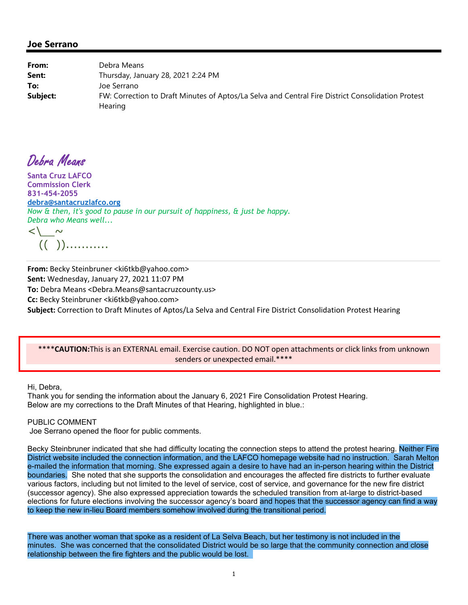| From:    | Debra Means                                                                                                         |
|----------|---------------------------------------------------------------------------------------------------------------------|
| Sent:    | Thursday, January 28, 2021 2:24 PM                                                                                  |
| To:      | Joe Serrano                                                                                                         |
| Subject: | FW: Correction to Draft Minutes of Aptos/La Selva and Central Fire District Consolidation Protest<br><b>Hearing</b> |

Debra Means

**Santa Cruz LAFCO Commission Clerk 831-454-2055 debra@santacruzlafco.org** *Now & then, it's good to pause in our pursuit of happiness, & just be happy. Debra who Means well...*   $\langle\, \rangle$   $\sim$ 

 $((\ )$ ............

**From:** Becky Steinbruner <ki6tkb@yahoo.com> **Sent:** Wednesday, January 27, 2021 11:07 PM **To:** Debra Means <Debra.Means@santacruzcounty.us> **Cc:** Becky Steinbruner <ki6tkb@yahoo.com> **Subject:** Correction to Draft Minutes of Aptos/La Selva and Central Fire District Consolidation Protest Hearing

## \*\*\*\***CAUTION:**This is an EXTERNAL email. Exercise caution. DO NOT open attachments or click links from unknown senders or unexpected email.\*\*\*\*

Hi, Debra,

Thank you for sending the information about the January 6, 2021 Fire Consolidation Protest Hearing. Below are my corrections to the Draft Minutes of that Hearing, highlighted in blue.:

PUBLIC COMMENT

Joe Serrano opened the floor for public comments.

Becky Steinbruner indicated that she had difficulty locating the connection steps to attend the protest hearing. Neither Fire District website included the connection information, and the LAFCO homepage website had no instruction. Sarah Melton e-mailed the information that morning. She expressed again a desire to have had an in-person hearing within the District boundaries. She noted that she supports the consolidation and encourages the affected fire districts to further evaluate various factors, including but not limited to the level of service, cost of service, and governance for the new fire district (successor agency). She also expressed appreciation towards the scheduled transition from at-large to district-based elections for future elections involving the successor agency's board and hopes that the successor agency can find a way to keep the new in-lieu Board members somehow involved during the transitional period.

There was another woman that spoke as a resident of La Selva Beach, but her testimony is not included in the minutes. She was concerned that the consolidated District would be so large that the community connection and close relationship between the fire fighters and the public would be lost.